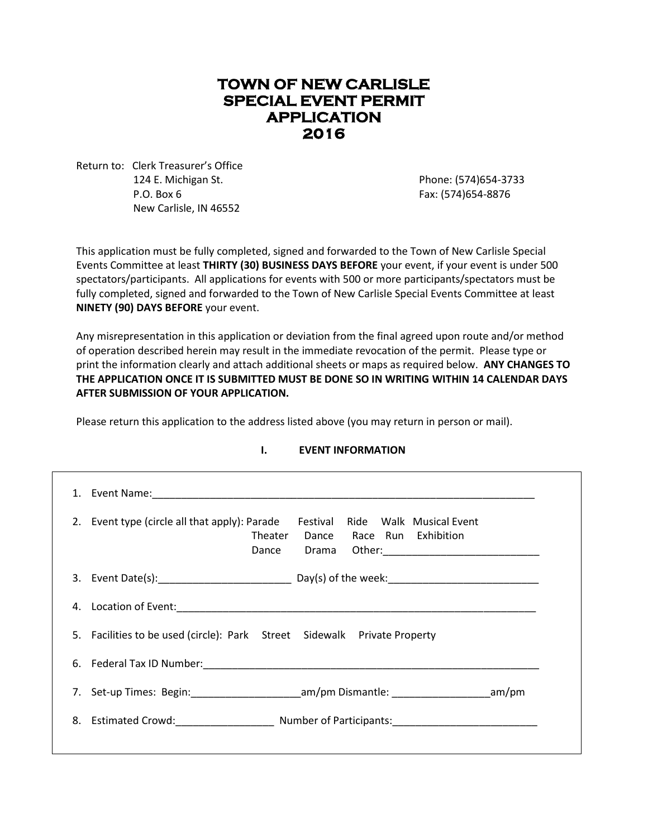# **TOWN OF NEW CARLISLE SPECIAL EVENT PERMIT APPLICATION 2016**

Return to: Clerk Treasurer's Office 124 E. Michigan St. Phone: (574)654-3733 P.O. Box 6 Fax: (574)654-8876 New Carlisle, IN 46552

This application must be fully completed, signed and forwarded to the Town of New Carlisle Special Events Committee at least **THIRTY (30) BUSINESS DAYS BEFORE** your event, if your event is under 500 spectators/participants. All applications for events with 500 or more participants/spectators must be fully completed, signed and forwarded to the Town of New Carlisle Special Events Committee at least **NINETY (90) DAYS BEFORE** your event.

Any misrepresentation in this application or deviation from the final agreed upon route and/or method of operation described herein may result in the immediate revocation of the permit. Please type or print the information clearly and attach additional sheets or maps as required below. **ANY CHANGES TO THE APPLICATION ONCE IT IS SUBMITTED MUST BE DONE SO IN WRITING WITHIN 14 CALENDAR DAYS AFTER SUBMISSION OF YOUR APPLICATION.**

Please return this application to the address listed above (you may return in person or mail).

| 2. Event type (circle all that apply): Parade Festival Ride Walk Musical Event<br>Theater<br>Dance Race Run Exhibition<br>Dance |
|---------------------------------------------------------------------------------------------------------------------------------|
|                                                                                                                                 |
|                                                                                                                                 |
| 5. Facilities to be used (circle): Park Street Sidewalk Private Property                                                        |
| 6. Federal Tax ID Number: 2008 2009 2010 2020 2021 2021 2022 2023 2024 2022 2023 2024 2022 2023 2024 2022 2023                  |
| 7. Set-up Times: Begin: am/pm Dismantle: and pm am/pm                                                                           |
| 8. Estimated Crowd: Number of Participants: Number of Participants:                                                             |

# **I. EVENT INFORMATION**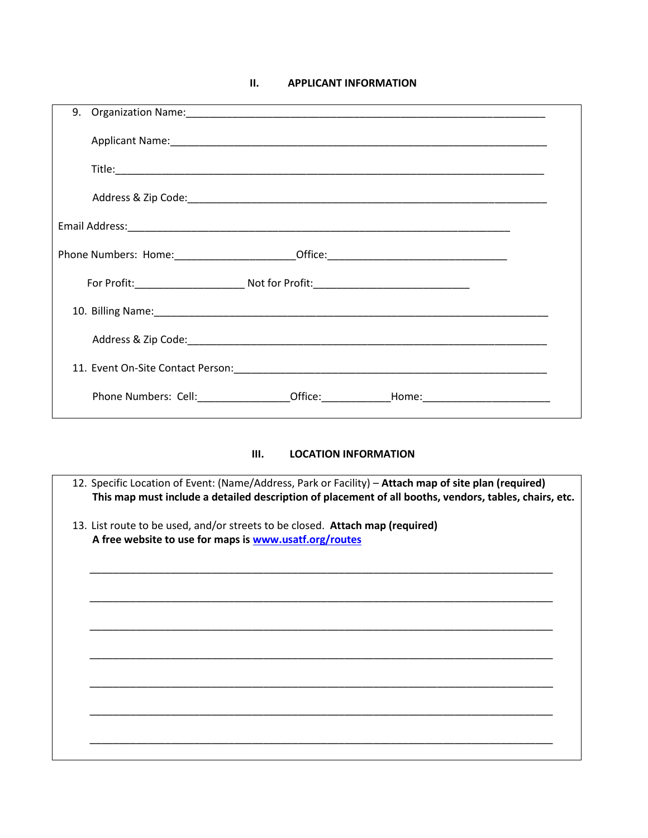#### $II.$ **APPLICANT INFORMATION**

| 9. Organization Name: 1988 and 2008 and 2010 and 2010 and 2010 and 2010 and 2010 and 2010 and 2010 and 2010 and 2010 and 2010 and 2010 and 2010 and 2010 and 2010 and 2010 and 2010 and 2010 and 2010 and 2010 and 2010 and 20 |  |
|--------------------------------------------------------------------------------------------------------------------------------------------------------------------------------------------------------------------------------|--|
|                                                                                                                                                                                                                                |  |
|                                                                                                                                                                                                                                |  |
|                                                                                                                                                                                                                                |  |
|                                                                                                                                                                                                                                |  |
| Phone Numbers: Home:____________________________Office:_________________________                                                                                                                                               |  |
|                                                                                                                                                                                                                                |  |
|                                                                                                                                                                                                                                |  |
|                                                                                                                                                                                                                                |  |
|                                                                                                                                                                                                                                |  |
| Phone Numbers: Cell: _________________Office: _______________Home: _________________________________                                                                                                                           |  |

#### $III.$ **LOCATION INFORMATION**

| 12. Specific Location of Event: (Name/Address, Park or Facility) – Attach map of site plan (required)<br>This map must include a detailed description of placement of all booths, vendors, tables, chairs, etc. |
|-----------------------------------------------------------------------------------------------------------------------------------------------------------------------------------------------------------------|
| 13. List route to be used, and/or streets to be closed. Attach map (required)<br>A free website to use for maps is www.usatf.org/routes                                                                         |
|                                                                                                                                                                                                                 |
|                                                                                                                                                                                                                 |
|                                                                                                                                                                                                                 |
|                                                                                                                                                                                                                 |
|                                                                                                                                                                                                                 |
|                                                                                                                                                                                                                 |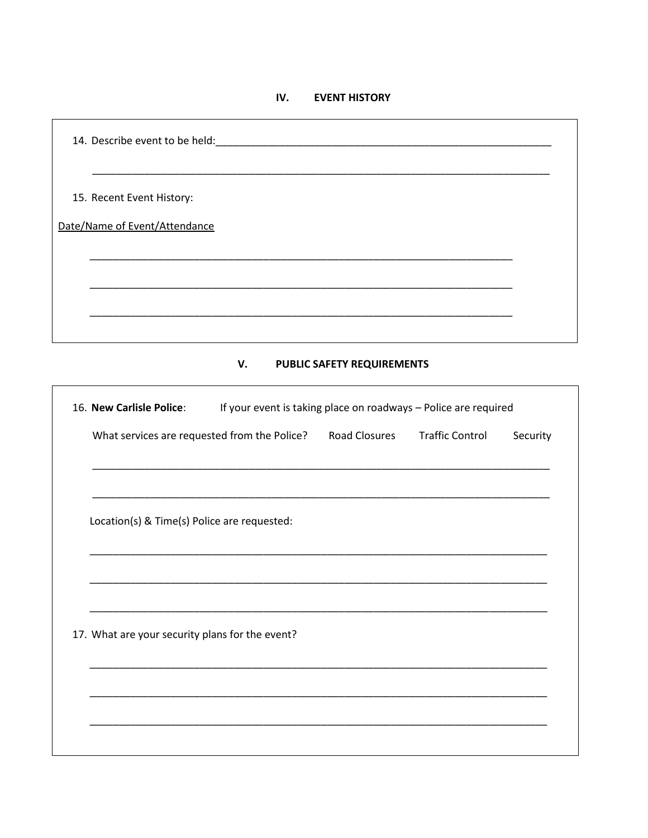#### IV. **EVENT HISTORY**

| 15. Recent Event History:                                                                      |          |
|------------------------------------------------------------------------------------------------|----------|
| Date/Name of Event/Attendance                                                                  |          |
|                                                                                                |          |
|                                                                                                |          |
|                                                                                                |          |
| V.<br>PUBLIC SAFETY REQUIREMENTS                                                               |          |
| 16. New Carlisle Police:<br>If your event is taking place on roadways - Police are required    |          |
| <b>Traffic Control</b><br>What services are requested from the Police?<br><b>Road Closures</b> | Security |
|                                                                                                |          |
| Location(s) & Time(s) Police are requested:                                                    |          |
|                                                                                                |          |
|                                                                                                |          |
|                                                                                                |          |
| 17. What are your security plans for the event?                                                |          |
|                                                                                                |          |
|                                                                                                |          |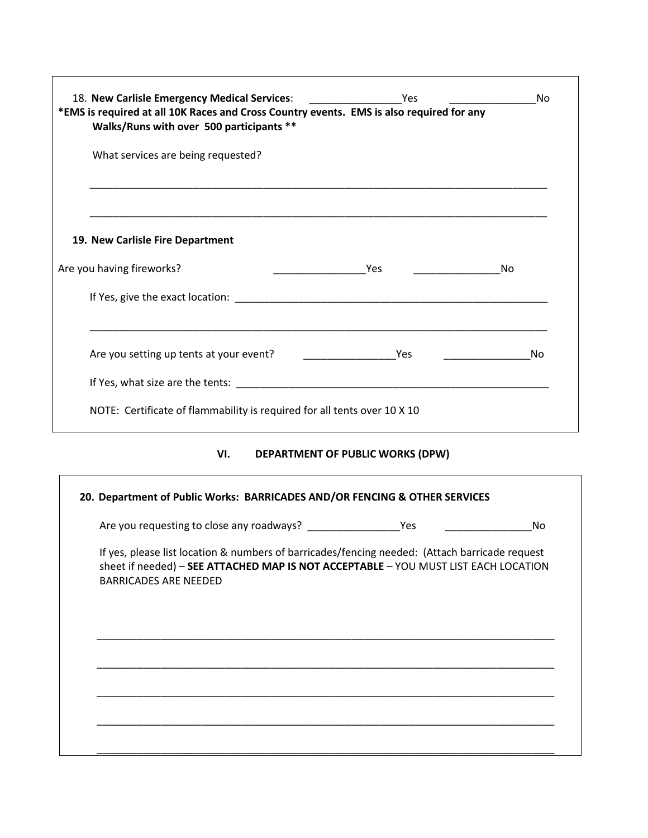| *EMS is required at all 10K Races and Cross Country events. EMS is also required for any                                                                                                                                       |                                  |    | No |
|--------------------------------------------------------------------------------------------------------------------------------------------------------------------------------------------------------------------------------|----------------------------------|----|----|
| Walks/Runs with over 500 participants **                                                                                                                                                                                       |                                  |    |    |
| What services are being requested?                                                                                                                                                                                             |                                  |    |    |
|                                                                                                                                                                                                                                |                                  |    |    |
| 19. New Carlisle Fire Department                                                                                                                                                                                               |                                  |    |    |
| Are you having fireworks?                                                                                                                                                                                                      |                                  | No |    |
| If Yes, give the exact location: example of the state of the state of the state of the state of the state of the state of the state of the state of the state of the state of the state of the state of the state of the state |                                  |    |    |
|                                                                                                                                                                                                                                |                                  |    |    |
|                                                                                                                                                                                                                                |                                  |    |    |
| NOTE: Certificate of flammability is required for all tents over 10 X 10                                                                                                                                                       |                                  |    |    |
| VI.                                                                                                                                                                                                                            | DEPARTMENT OF PUBLIC WORKS (DPW) |    |    |
| 20. Department of Public Works: BARRICADES AND/OR FENCING & OTHER SERVICES                                                                                                                                                     |                                  |    |    |
|                                                                                                                                                                                                                                |                                  |    | No |
| If yes, please list location & numbers of barricades/fencing needed: (Attach barricade request<br>sheet if needed) - SEE ATTACHED MAP IS NOT ACCEPTABLE - YOU MUST LIST EACH LOCATION<br><b>BARRICADES ARE NEEDED</b>          |                                  |    |    |
|                                                                                                                                                                                                                                |                                  |    |    |
|                                                                                                                                                                                                                                |                                  |    |    |
|                                                                                                                                                                                                                                |                                  |    |    |
|                                                                                                                                                                                                                                |                                  |    |    |
|                                                                                                                                                                                                                                |                                  |    |    |
|                                                                                                                                                                                                                                |                                  |    |    |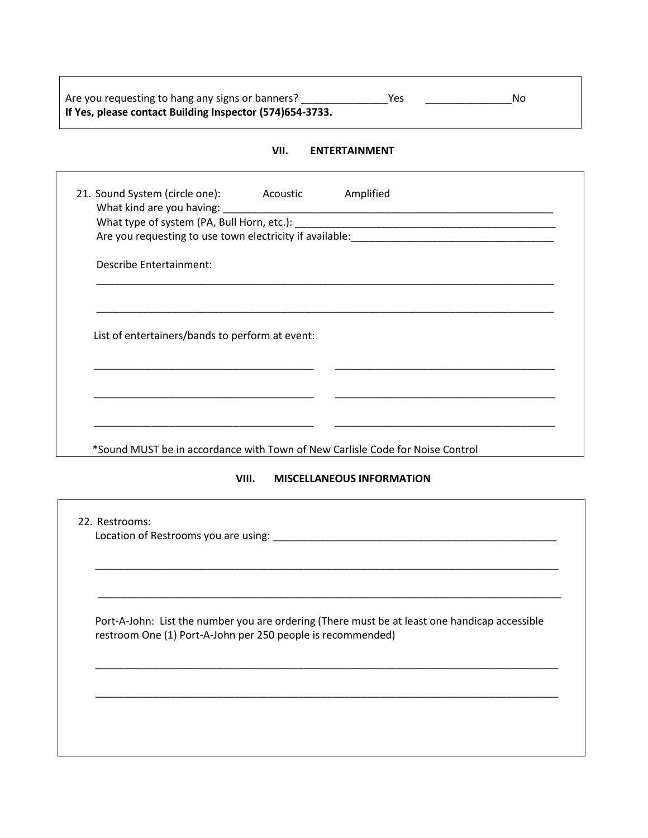| Are you requesting to hang any signs or banners?         | Yes | No |
|----------------------------------------------------------|-----|----|
| If Yes, please contact Building Inspector (574)654-3733. |     |    |

### **VII. ENTERTAINMENT**

| 21. Sound System (circle one): Acoustic         |       | Amplified                                                                                     |
|-------------------------------------------------|-------|-----------------------------------------------------------------------------------------------|
|                                                 |       |                                                                                               |
|                                                 |       |                                                                                               |
|                                                 |       |                                                                                               |
| <b>Describe Entertainment:</b>                  |       |                                                                                               |
|                                                 |       |                                                                                               |
|                                                 |       |                                                                                               |
|                                                 |       |                                                                                               |
| List of entertainers/bands to perform at event: |       |                                                                                               |
|                                                 |       |                                                                                               |
|                                                 |       |                                                                                               |
|                                                 |       |                                                                                               |
|                                                 |       | <u> 1940 - Johann John Stone, markin amerikan basar personal (</u>                            |
|                                                 |       |                                                                                               |
|                                                 |       | *Sound MUST be in accordance with Town of New Carlisle Code for Noise Control                 |
|                                                 | VIII. | <b>MISCELLANEOUS INFORMATION</b>                                                              |
|                                                 |       |                                                                                               |
|                                                 |       |                                                                                               |
| 22. Restrooms:                                  |       |                                                                                               |
|                                                 |       |                                                                                               |
|                                                 |       |                                                                                               |
|                                                 |       |                                                                                               |
|                                                 |       |                                                                                               |
|                                                 |       |                                                                                               |
|                                                 |       | Port-A-John: List the number you are ordering (There must be at least one handicap accessible |

\_\_\_\_\_\_\_\_\_\_\_\_\_\_\_\_\_\_\_\_\_\_\_\_\_\_\_\_\_\_\_\_\_\_\_\_\_\_\_\_\_\_\_\_\_\_\_\_\_\_\_\_\_\_\_\_\_\_\_\_\_\_\_\_\_\_\_\_\_\_\_\_\_\_\_\_\_\_\_\_

\_\_\_\_\_\_\_\_\_\_\_\_\_\_\_\_\_\_\_\_\_\_\_\_\_\_\_\_\_\_\_\_\_\_\_\_\_\_\_\_\_\_\_\_\_\_\_\_\_\_\_\_\_\_\_\_\_\_\_\_\_\_\_\_\_\_\_\_\_\_\_\_\_\_\_\_\_\_\_\_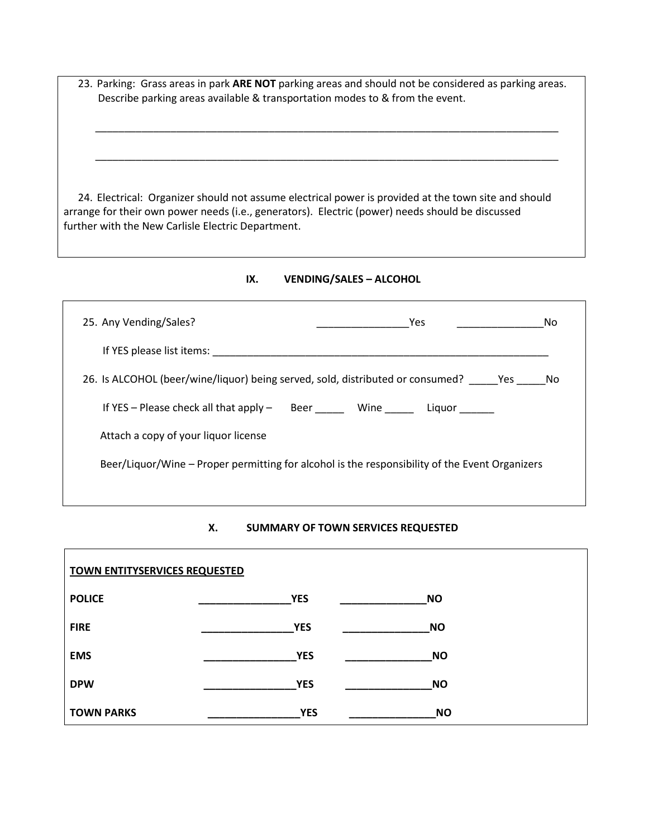23. Parking: Grass areas in park **ARE NOT** parking areas and should not be considered as parking areas. Describe parking areas available & transportation modes to & from the event.

\_\_\_\_\_\_\_\_\_\_\_\_\_\_\_\_\_\_\_\_\_\_\_\_\_\_\_\_\_\_\_\_\_\_\_\_\_\_\_\_\_\_\_\_\_\_\_\_\_\_\_\_\_\_\_\_\_\_\_\_\_\_\_\_\_\_\_\_\_\_\_\_\_\_\_\_\_\_\_\_

\_\_\_\_\_\_\_\_\_\_\_\_\_\_\_\_\_\_\_\_\_\_\_\_\_\_\_\_\_\_\_\_\_\_\_\_\_\_\_\_\_\_\_\_\_\_\_\_\_\_\_\_\_\_\_\_\_\_\_\_\_\_\_\_\_\_\_\_\_\_\_\_\_\_\_\_\_\_\_\_

24. Electrical: Organizer should not assume electrical power is provided at the town site and should arrange for their own power needs (i.e., generators). Electric (power) needs should be discussed further with the New Carlisle Electric Department.

**IX. VENDING/SALES – ALCOHOL**

| 25. Any Vending/Sales?                                                                         | Yes | No |  |
|------------------------------------------------------------------------------------------------|-----|----|--|
| If YES please list items:                                                                      |     |    |  |
| 26. Is ALCOHOL (beer/wine/liquor) being served, sold, distributed or consumed? Yes No          |     |    |  |
| If YES - Please check all that apply - Beer ______ Wine _____ Liquor _____                     |     |    |  |
| Attach a copy of your liquor license                                                           |     |    |  |
| Beer/Liquor/Wine – Proper permitting for alcohol is the responsibility of the Event Organizers |     |    |  |
|                                                                                                |     |    |  |

### **X. SUMMARY OF TOWN SERVICES REQUESTED**

| <b>TOWN ENTITYSERVICES REQUESTED</b> |                         |  |  |  |
|--------------------------------------|-------------------------|--|--|--|
| <b>POLICE</b>                        | <b>YES</b><br><b>NO</b> |  |  |  |
| <b>FIRE</b>                          | <b>YES</b><br><b>NO</b> |  |  |  |
| <b>EMS</b>                           | <b>NO</b><br><b>YES</b> |  |  |  |
| <b>DPW</b>                           | <b>YES</b><br><b>NO</b> |  |  |  |
| <b>TOWN PARKS</b>                    | <b>YES</b><br><b>NO</b> |  |  |  |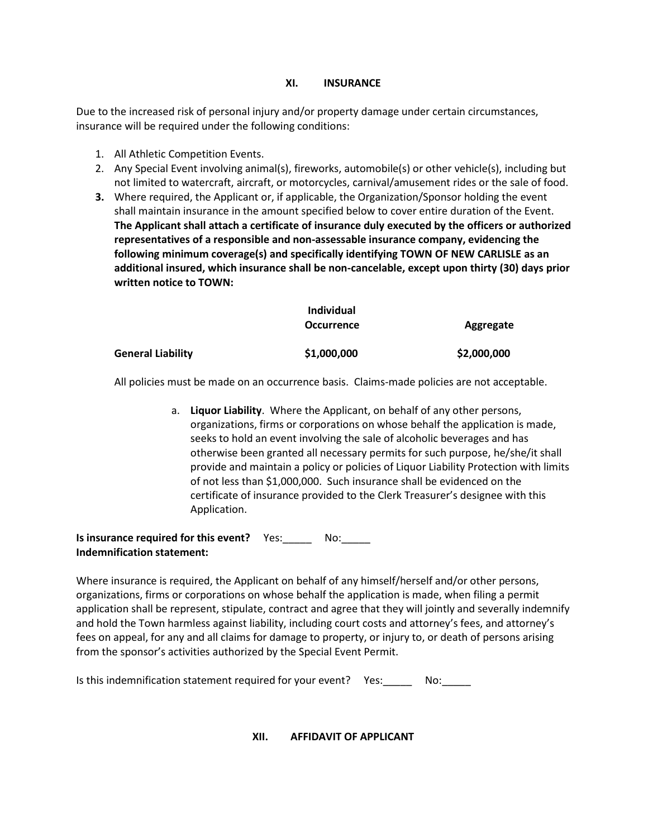### **XI. INSURANCE**

Due to the increased risk of personal injury and/or property damage under certain circumstances, insurance will be required under the following conditions:

- 1. All Athletic Competition Events.
- 2. Any Special Event involving animal(s), fireworks, automobile(s) or other vehicle(s), including but not limited to watercraft, aircraft, or motorcycles, carnival/amusement rides or the sale of food.
- **3.** Where required, the Applicant or, if applicable, the Organization/Sponsor holding the event shall maintain insurance in the amount specified below to cover entire duration of the Event. **The Applicant shall attach a certificate of insurance duly executed by the officers or authorized representatives of a responsible and non-assessable insurance company, evidencing the following minimum coverage(s) and specifically identifying TOWN OF NEW CARLISLE as an additional insured, which insurance shall be non-cancelable, except upon thirty (30) days prior written notice to TOWN:**

|                   | <b>Individual</b> |             |
|-------------------|-------------------|-------------|
|                   | <b>Occurrence</b> | Aggregate   |
| General Liability | \$1,000,000       | \$2,000,000 |

All policies must be made on an occurrence basis. Claims-made policies are not acceptable.

a. **Liquor Liability**. Where the Applicant, on behalf of any other persons, organizations, firms or corporations on whose behalf the application is made, seeks to hold an event involving the sale of alcoholic beverages and has otherwise been granted all necessary permits for such purpose, he/she/it shall provide and maintain a policy or policies of Liquor Liability Protection with limits of not less than \$1,000,000. Such insurance shall be evidenced on the certificate of insurance provided to the Clerk Treasurer's designee with this Application.

**Is insurance required for this event?** Yes:\_\_\_\_\_ No:\_\_\_\_\_ **Indemnification statement:**

Where insurance is required, the Applicant on behalf of any himself/herself and/or other persons, organizations, firms or corporations on whose behalf the application is made, when filing a permit application shall be represent, stipulate, contract and agree that they will jointly and severally indemnify and hold the Town harmless against liability, including court costs and attorney's fees, and attorney's fees on appeal, for any and all claims for damage to property, or injury to, or death of persons arising from the sponsor's activities authorized by the Special Event Permit.

Is this indemnification statement required for your event? Yes: No:

**XII. AFFIDAVIT OF APPLICANT**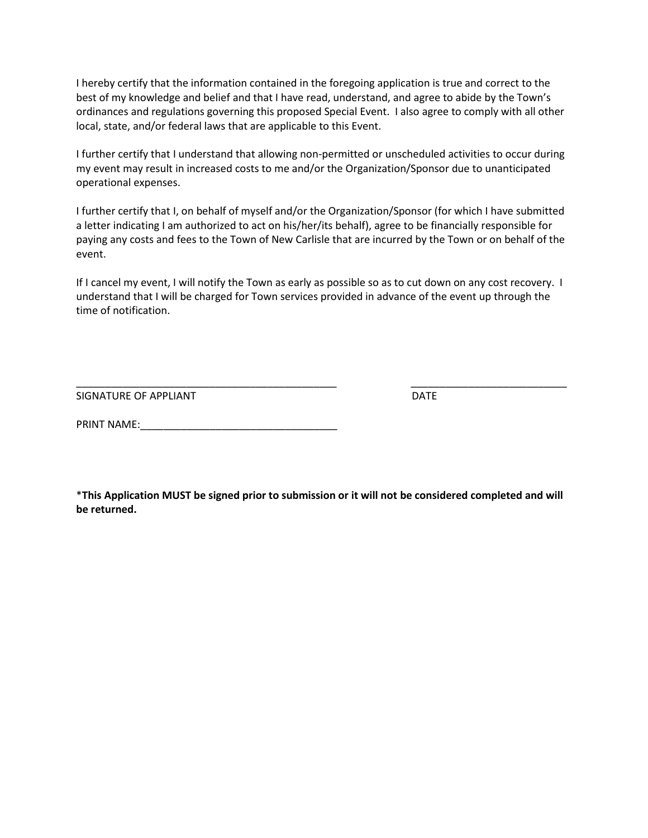I hereby certify that the information contained in the foregoing application is true and correct to the best of my knowledge and belief and that I have read, understand, and agree to abide by the Town's ordinances and regulations governing this proposed Special Event. I also agree to comply with all other local, state, and/or federal laws that are applicable to this Event.

I further certify that I understand that allowing non-permitted or unscheduled activities to occur during my event may result in increased costs to me and/or the Organization/Sponsor due to unanticipated operational expenses.

I further certify that I, on behalf of myself and/or the Organization/Sponsor (for which I have submitted a letter indicating I am authorized to act on his/her/its behalf), agree to be financially responsible for paying any costs and fees to the Town of New Carlisle that are incurred by the Town or on behalf of the event.

If I cancel my event, I will notify the Town as early as possible so as to cut down on any cost recovery. I understand that I will be charged for Town services provided in advance of the event up through the time of notification.

\_\_\_\_\_\_\_\_\_\_\_\_\_\_\_\_\_\_\_\_\_\_\_\_\_\_\_\_\_\_\_\_\_\_\_\_\_\_\_\_\_\_\_\_\_ \_\_\_\_\_\_\_\_\_\_\_\_\_\_\_\_\_\_\_\_\_\_\_\_\_\_\_

SIGNATURE OF APPLIANT DATE

PRINT NAME:\_\_\_\_\_\_\_\_\_\_\_\_\_\_\_\_\_\_\_\_\_\_\_\_\_\_\_\_\_\_\_\_\_\_

\***This Application MUST be signed prior to submission or it will not be considered completed and will be returned.**